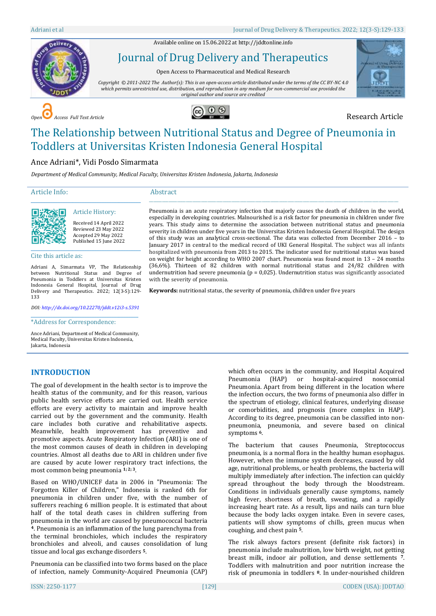Available online on 15.06.2022 a[t http://jddtonline.info](http://jddtonline.info/)



# Journal of Drug Delivery and Therapeutics

Open Access to Pharmaceutical and Medical Research

*Copyright © 2011-2022 The Author(s): This is an open-access article distributed under the terms of the CC BY-NC 4.0 which permits unrestricted use, distribution, and reproduction in any medium for non-commercial use provided the original author and source are credited*



*Open Access Full Text Article* Research Article



# The Relationship between Nutritional Status and Degree of Pneumonia in Toddlers at Universitas Kristen Indonesia General Hospital

# Ance Adriani\*, Vidi Posdo Simarmata

\_\_\_\_\_\_\_\_\_\_\_\_\_\_\_\_\_\_\_\_\_\_\_\_\_\_\_\_\_\_\_\_\_\_\_\_\_\_\_\_\_\_\_\_\_ Article History:

*Department of Medical Community, Medical Faculty, Universitas Kristen Indonesia, Jakarta, Indonesia*

# Article Info:

#### Abstract

with the severity of pneumonia.



Received 14 April 2022 Reviewed 23 May 2022 Accepted 29 May 2022 Published 15 June 2022

Cite this article as:

Adriani A, Simarmata VP, The Relationship between Nutritional Status and Degree of Pneumonia in Toddlers at Universitas Kristen Indonesia General Hospital, Journal of Drug Delivery and Therapeutics. 2022; 12(3-S):129- 133

\_\_\_\_\_\_\_\_\_\_\_\_\_\_\_\_\_\_\_\_\_\_\_\_\_\_\_\_\_\_\_\_\_\_\_\_\_\_\_\_\_\_\_\_\_

*DOI[: http://dx.doi.org/10.22270/jddt.v12i3-s.5391](http://dx.doi.org/10.22270/jddt.v12i3-s.5391)*  \_\_\_\_\_\_\_\_\_\_\_\_\_\_\_\_\_\_\_\_\_\_\_\_\_\_\_\_\_\_\_\_\_\_\_\_\_\_\_\_\_\_\_\_

\*Address for Correspondence:

Ance Adriani, Department of Medical Community, Medical Faculty, Universitas Kristen Indonesia, Jakarta, Indonesia

# **INTRODUCTION**

The goal of development in the health sector is to improve the health status of the community, and for this reason, various public health service efforts are carried out. Health service efforts are every activity to maintain and improve health carried out by the government and the community. Health care includes both curative and rehabilitative aspects. Meanwhile, health improvement has preventive and promotive aspects. Acute Respiratory Infection (ARI) is one of the most common causes of death in children in developing countries. Almost all deaths due to ARI in children under five are caused by acute lower respiratory tract infections, the most common being pneumonia **1; 2; 3**.

Based on WHO/UNICEF data in 2006 in "Pneumonia: The Forgotten Killer of Children," Indonesia is ranked 6th for pneumonia in children under five, with the number of sufferers reaching 6 million people. It is estimated that about half of the total death cases in children suffering from pneumonia in the world are caused by pneumococcal bacteria **<sup>4</sup>**. Pneumonia is an inflammation of the lung parenchyma from the terminal bronchioles, which includes the respiratory bronchioles and alveoli, and causes consolidation of lung tissue and local gas exchange disorders **5**.

Pneumonia can be classified into two forms based on the place of infection, namely Community-Acquired Pneumonia (CAP)

Pneumonia is an acute respiratory infection that majorly causes the death of children in the world, especially in developing countries. Malnourished is a risk factor for pneumonia in children under five years. This study aims to determine the association between nutritional status and pneumonia severity in children under five years in the Universitas Kristen Indonesia General Hospital. The design of this study was an analytical cross-sectional. The data was collected from December 2016 – to January 2017 in central to the medical record of UKI General Hospital. The subject was all infants hospitalized with pneumonia from 2013 to 2015. The indicator used for nutritional status was based on weight for height according to WHO 2007 chart. Pneumonia was found most in 13 – 24 months (36,6%). Thirteen of 82 children with normal nutritional status and 24/82 children with

\_\_\_\_\_\_\_\_\_\_\_\_\_\_\_\_\_\_\_\_\_\_\_\_\_\_\_\_\_\_\_\_\_\_\_\_\_\_\_\_\_\_\_\_\_\_\_\_\_\_\_\_\_\_\_\_\_\_\_\_\_\_\_\_\_\_\_\_\_\_\_\_\_\_\_\_\_\_\_\_\_\_\_\_\_\_\_\_\_\_\_\_\_\_\_\_\_\_\_\_\_\_\_\_\_\_\_\_\_\_\_\_\_\_\_

undernutrition had severe pneumonia ( $p = 0.025$ ). Undernutrition status was significantly associated

**Keywords:** nutritional status, the severity of pneumonia, children under five years

which often occurs in the community, and Hospital Acquired Pneumonia (HAP) or hospital-acquired nosocomial Pneumonia. Apart from being different in the location where the infection occurs, the two forms of pneumonia also differ in the spectrum of etiology, clinical features, underlying disease or comorbidities, and prognosis (more complex in HAP). According to its degree, pneumonia can be classified into nonpneumonia, pneumonia, and severe based on clinical symptoms **6**.

The bacterium that causes Pneumonia, Streptococcus pneumonia, is a normal flora in the healthy human esophagus. However, when the immune system decreases, caused by old age, nutritional problems, or health problems, the bacteria will multiply immediately after infection. The infection can quickly spread throughout the body through the bloodstream. Conditions in individuals generally cause symptoms, namely high fever, shortness of breath, sweating, and a rapidly increasing heart rate. As a result, lips and nails can turn blue because the body lacks oxygen intake. Even in severe cases, patients will show symptoms of chills, green mucus when coughing, and chest pain **5**.

The risk always factors present (definite risk factors) in pneumonia include malnutrition, low birth weight, not getting breast milk, indoor air pollution, and dense settlements **<sup>7</sup>**. Toddlers with malnutrition and poor nutrition increase the risk of pneumonia in toddlers **<sup>8</sup>**. In under-nourished children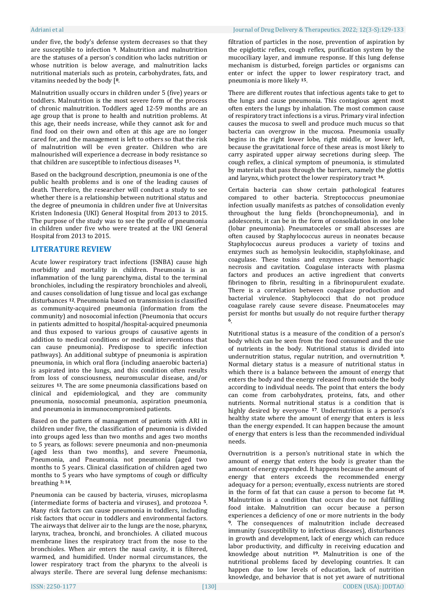under five, the body's defense system decreases so that they are susceptible to infection **9**. Malnutrition and malnutrition are the statuses of a person's condition who lacks nutrition or whose nutrition is below average, and malnutrition lacks nutritional materials such as protein, carbohydrates, fats, and vitamins needed by the body [**0**.

Malnutrition usually occurs in children under 5 (five) years or toddlers. Malnutrition is the most severe form of the process of chronic malnutrition. Toddlers aged 12-59 months are an age group that is prone to health and nutrition problems. At this age, their needs increase, while they cannot ask for and find food on their own and often at this age are no longer cared for, and the management is left to others so that the risk of malnutrition will be even greater. Children who are malnourished will experience a decrease in body resistance so that children are susceptible to infectious diseases **11**.

Based on the background description, pneumonia is one of the public health problems and is one of the leading causes of death. Therefore, the researcher will conduct a study to see whether there is a relationship between nutritional status and the degree of pneumonia in children under five at Universitas Kristen Indonesia (UKI) General Hospital from 2013 to 2015. The purpose of the study was to see the profile of pneumonia in children under five who were treated at the UKI General Hospital from 2013 to 2015.

# **LITERATURE REVIEW**

Acute lower respiratory tract infections (ISNBA) cause high morbidity and mortality in children. Pneumonia is an inflammation of the lung parenchyma, distal to the terminal bronchioles, including the respiratory bronchioles and alveoli, and causes consolidation of lung tissue and local gas exchange disturbances **12**. Pneumonia based on transmission is classified as community-acquired pneumonia (information from the community) and nosocomial infection (Pneumonia that occurs in patients admitted to hospital/hospital-acquired pneumonia and thus exposed to various groups of causative agents in addition to medical conditions or medical interventions that can cause pneumonia). Predispose to specific infection pathways). An additional subtype of pneumonia is aspiration pneumonia, in which oral flora (including anaerobic bacteria) is aspirated into the lungs, and this condition often results from loss of consciousness, neuromuscular disease, and/or seizures **13**. The are some pneumonia classifications based on clinical and epidemiological, and they are community pneumonia, nosocomial pneumonia, aspiration pneumonia, and pneumonia in immunocompromised patients.

Based on the pattern of management of patients with ARI in children under five, the classification of pneumonia is divided into groups aged less than two months and ages two months to 5 years, as follows: severe pneumonia and non-pneumonia (aged less than two months), and severe Pneumonia, Pneumonia, and Pneumonia. not pneumonia (aged two months to 5 years. Clinical classification of children aged two months to 5 years who have symptoms of cough or difficulty breathing **3; 14**.

Pneumonia can be caused by bacteria, viruses, microplasma (intermediate forms of bacteria and viruses), and protozoa **<sup>5</sup>**. Many risk factors can cause pneumonia in toddlers, including risk factors that occur in toddlers and environmental factors. The airways that deliver air to the lungs are the nose, pharynx, larynx, trachea, bronchi, and bronchioles. A ciliated mucous membrane lines the respiratory tract from the nose to the bronchioles. When air enters the nasal cavity, it is filtered, warmed, and humidified. Under normal circumstances, the lower respiratory tract from the pharynx to the alveoli is always sterile. There are several lung defense mechanisms:

#### Adriani et al Journal of Drug Delivery & Therapeutics. 2022; 12(3-S):129-133

filtration of particles in the nose, prevention of aspiration by the epiglottic reflex, cough reflex, purification system by the mucociliary layer, and immune response. If this lung defense mechanism is disturbed, foreign particles or organisms can enter or infect the upper to lower respiratory tract, and pneumonia is more likely **15**.

There are different routes that infectious agents take to get to the lungs and cause pneumonia. This contagious agent most often enters the lungs by inhalation. The most common cause of respiratory tract infections is a virus. Primary viral infection causes the mucosa to swell and produce much mucus so that bacteria can overgrow in the mucosa. Pneumonia usually begins in the right lower lobe, right middle, or lower left, because the gravitational force of these areas is most likely to carry aspirated upper airway secretions during sleep. The cough reflex, a clinical symptom of pneumonia, is stimulated by materials that pass through the barriers, namely the glottis and larynx, which protect the lower respiratory tract **16**.

Certain bacteria can show certain pathological features compared to other bacteria. Streptococcus pneumoniae infection usually manifests as patches of consolidation evenly throughout the lung fields (bronchopneumonia), and in adolescents, it can be in the form of consolidation in one lobe (lobar pneumonia). Pneumatoceles or small abscesses are often caused by Staphylococcus aureus in neonates because Staphylococcus aureus produces a variety of toxins and enzymes such as hemolysin leukocidin, staphylokinase, and coagulase. These toxins and enzymes cause hemorrhagic necrosis and cavitation. Coagulase interacts with plasma factors and produces an active ingredient that converts fibrinogen to fibrin, resulting in a fibrinopurulent exudate. There is a correlation between coagulase production and bacterial virulence. Staphylococci that do not produce coagulase rarely cause severe disease. Pneumatoceles may persist for months but usually do not require further therapy **6**.

Nutritional status is a measure of the condition of a person's body which can be seen from the food consumed and the use of nutrients in the body. Nutritional status is divided into undernutrition status, regular nutrition, and overnutrition **9**. Normal dietary status is a measure of nutritional status in which there is a balance between the amount of energy that enters the body and the energy released from outside the body according to individual needs. The point that enters the body can come from carbohydrates, proteins, fats, and other nutrients. Normal nutritional status is a condition that is highly desired by everyone **17**. Undernutrition is a person's healthy state where the amount of energy that enters is less than the energy expended. It can happen because the amount of energy that enters is less than the recommended individual needs.

Overnutrition is a person's nutritional state in which the amount of energy that enters the body is greater than the amount of energy expended. It happens because the amount of energy that enters exceeds the recommended energy adequacy for a person; eventually, excess nutrients are stored in the form of fat that can cause a person to become fat **18**. Malnutrition is a condition that occurs due to not fulfilling food intake. Malnutrition can occur because a person experiences a deficiency of one or more nutrients in the body **<sup>9</sup>**. The consequences of malnutrition include decreased immunity (susceptibility to infectious diseases), disturbances in growth and development, lack of energy which can reduce labor productivity, and difficulty in receiving education and knowledge about nutrition **19**. Malnutrition is one of the nutritional problems faced by developing countries. It can happen due to low levels of education, lack of nutrition knowledge, and behavior that is not yet aware of nutritional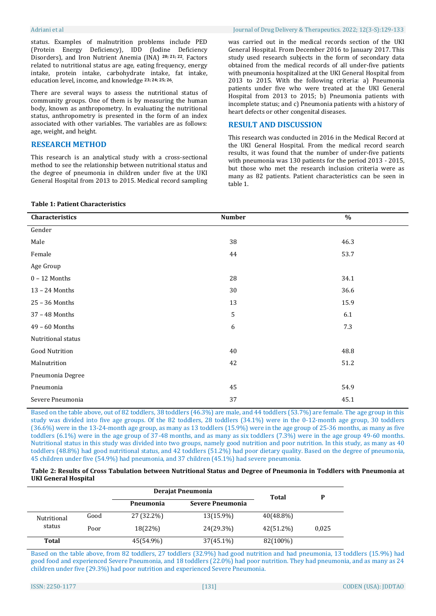status. Examples of malnutrition problems include PED (Protein Energy Deficiency), IDD (Iodine Deficiency Disorders), and Iron Nutrient Anemia (INA) **20; 21; 22**. Factors related to nutritional status are age, eating frequency, energy intake, protein intake, carbohydrate intake, fat intake, education level, income, and knowledge **23; 24; 25; 26**.

There are several ways to assess the nutritional status of community groups. One of them is by measuring the human body, known as anthropometry. In evaluating the nutritional status, anthropometry is presented in the form of an index associated with other variables. The variables are as follows: age, weight, and height.

# **RESEARCH METHOD**

This research is an analytical study with a cross-sectional method to see the relationship between nutritional status and the degree of pneumonia in children under five at the UKI General Hospital from 2013 to 2015. Medical record sampling was carried out in the medical records section of the UKI General Hospital. From December 2016 to January 2017. This study used research subjects in the form of secondary data obtained from the medical records of all under-five patients with pneumonia hospitalized at the UKI General Hospital from 2013 to 2015. With the following criteria: a) Pneumonia patients under five who were treated at the UKI General Hospital from 2013 to 2015; b) Pneumonia patients with incomplete status; and c) Pneumonia patients with a history of

# **RESULT AND DISCUSSION**

heart defects or other congenital diseases.

This research was conducted in 2016 in the Medical Record at the UKI General Hospital. From the medical record search results, it was found that the number of under-five patients with pneumonia was 130 patients for the period 2013 - 2015, but those who met the research inclusion criteria were as many as 82 patients. Patient characteristics can be seen in table 1.

# **Table 1: Patient Characteristics**

| Characteristics       | <b>Number</b> | $\%$ |
|-----------------------|---------------|------|
| Gender                |               |      |
| Male                  | 38            | 46.3 |
| Female                | 44            | 53.7 |
| Age Group             |               |      |
| $0 - 12$ Months       | 28            | 34.1 |
| 13 - 24 Months        | 30            | 36.6 |
| $25 - 36$ Months      | 13            | 15.9 |
| 37 - 48 Months        | 5             | 6.1  |
| $49 - 60$ Months      | 6             | 7.3  |
| Nutritional status    |               |      |
| <b>Good Nutrition</b> | 40            | 48.8 |
| Malnutrition          | 42            | 51.2 |
| Pneumonia Degree      |               |      |
| Pneumonia             | 45            | 54.9 |
| Severe Pneumonia      | 37            | 45.1 |

Based on the table above, out of 82 toddlers, 38 toddlers (46.3%) are male, and 44 toddlers (53.7%) are female. The age group in this study was divided into five age groups. Of the 82 toddlers, 28 toddlers (34.1%) were in the 0-12-month age group, 30 toddlers (36.6%) were in the 13-24-month age group, as many as 13 toddlers (15.9%) were in the age group of 25-36 months, as many as five toddlers (6.1%) were in the age group of 37-48 months, and as many as six toddlers (7.3%) were in the age group 49-60 months. Nutritional status in this study was divided into two groups, namely good nutrition and poor nutrition. In this study, as many as 40 toddlers (48.8%) had good nutritional status, and 42 toddlers (51.2%) had poor dietary quality. Based on the degree of pneumonia, 45 children under five (54.9%) had pneumonia, and 37 children (45.1%) had severe pneumonia.

### **Table 2: Results of Cross Tabulation between Nutritional Status and Degree of Pneumonia in Toddlers with Pneumonia at UKI General Hospital**

|                       |      | Derajat Pneumonia |                  |              | P     |
|-----------------------|------|-------------------|------------------|--------------|-------|
|                       |      | Pneumonia         | Severe Pneumonia | Total        |       |
| Nutritional<br>status | Good | 27 (32.2%)        | 13(15.9%)        | $40(48.8\%)$ |       |
|                       | Poor | 18(22%)           | 24(29.3%)        | 42(51.2%)    | 0,025 |
| Total                 |      | 45(54.9%)         | 37(45.1%)        | 82(100%)     |       |

Based on the table above, from 82 toddlers, 27 toddlers (32.9%) had good nutrition and had pneumonia, 13 toddlers (15.9%) had good food and experienced Severe Pneumonia, and 18 toddlers (22.0%) had poor nutrition. They had pneumonia, and as many as 24 children under five (29.3%) had poor nutrition and experienced Severe Pneumonia.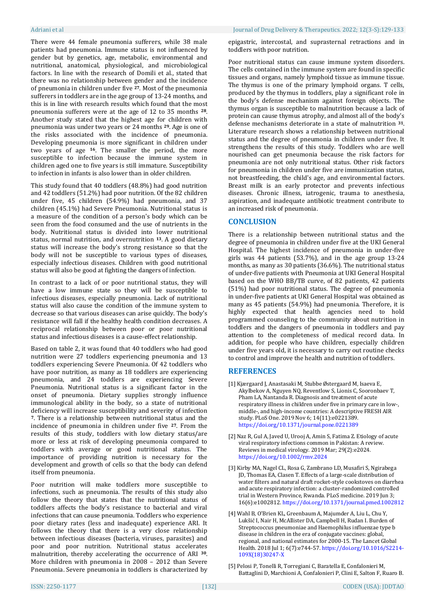There were 44 female pneumonia sufferers, while 38 male patients had pneumonia. Immune status is not influenced by gender but by genetics, age, metabolic, environmental and nutritional, anatomical, physiological, and microbiological factors. In line with the research of Domili et al., stated that there was no relationship between gender and the incidence of pneumonia in children under five **27**. Most of the pneumonia sufferers in toddlers are in the age group of 13-24 months, and this is in line with research results which found that the most pneumonia sufferers were at the age of 12 to 35 months **28**. Another study stated that the highest age for children with pneumonia was under two years or 24 months **29**. Age is one of the risks associated with the incidence of pneumonia. Developing pneumonia is more significant in children under two years of age **16**. The smaller the period, the more susceptible to infection because the immune system in children aged one to five years is still immature. Susceptibility to infection in infants is also lower than in older children.

This study found that 40 toddlers (48.8%) had good nutrition and 42 toddlers (51.2%) had poor nutrition. Of the 82 children under five, 45 children (54.9%) had pneumonia, and 37 children (45.1%) had Severe Pneumonia. Nutritional status is a measure of the condition of a person's body which can be seen from the food consumed and the use of nutrients in the body. Nutritional status is divided into lower nutritional status, normal nutrition, and overnutrition **13**. A good dietary status will increase the body's strong resistance so that the body will not be susceptible to various types of diseases, especially infectious diseases. Children with good nutritional status will also be good at fighting the dangers of infection.

In contrast to a lack of or poor nutritional status, they will have a low immune state so they will be susceptible to infectious diseases, especially pneumonia. Lack of nutritional status will also cause the condition of the immune system to decrease so that various diseases can arise quickly. The body's resistance will fall if the healthy health condition decreases. A reciprocal relationship between poor or poor nutritional status and infectious diseases is a cause-effect relationship.

Based on table 2, it was found that 40 toddlers who had good nutrition were 27 toddlers experiencing pneumonia and 13 toddlers experiencing Severe Pneumonia. Of 42 toddlers who have poor nutrition, as many as 18 toddlers are experiencing pneumonia, and 24 toddlers are experiencing Severe Pneumonia. Nutritional status is a significant factor in the onset of pneumonia. Dietary supplies strongly influence immunological ability in the body, so a state of nutritional deficiency will increase susceptibility and severity of infection **<sup>7</sup>**. There is a relationship between nutritional status and the incidence of pneumonia in children under five **<sup>27</sup>**. From the results of this study, toddlers with low dietary status/are more or less at risk of developing pneumonia compared to toddlers with average or good nutritional status. The importance of providing nutrition is necessary for the development and growth of cells so that the body can defend itself from pneumonia.

Poor nutrition will make toddlers more susceptible to infections, such as pneumonia. The results of this study also follow the theory that states that the nutritional status of toddlers affects the body's resistance to bacterial and viral infections that can cause pneumonia. Toddlers who experience poor dietary rates (less and inadequate) experience ARI. It follows the theory that there is a very close relationship between infectious diseases (bacteria, viruses, parasites) and poor and poor nutrition. Nutritional status accelerates malnutrition, thereby accelerating the occurrence of ARI **30**. More children with pneumonia in 2008 – 2012 than Severe Pneumonia. Severe pneumonia in toddlers is characterized by

epigastric, intercostal, and suprasternal retractions and in toddlers with poor nutrition.

Poor nutritional status can cause immune system disorders. The cells contained in the immune system are found in specific tissues and organs, namely lymphoid tissue as immune tissue. The thymus is one of the primary lymphoid organs. T cells, produced by the thymus in toddlers, play a significant role in the body's defense mechanism against foreign objects. The thymus organ is susceptible to malnutrition because a lack of protein can cause thymus atrophy, and almost all of the body's defense mechanisms deteriorate in a state of malnutrition **31**. Literature research shows a relationship between nutritional status and the degree of pneumonia in children under five. It strengthens the results of this study. Toddlers who are well nourished can get pneumonia because the risk factors for pneumonia are not only nutritional status. Other risk factors for pneumonia in children under five are immunization status, not breastfeeding, the child's age, and environmental factors. Breast milk is an early protector and prevents infectious diseases. Chronic illness, iatrogenic, trauma to anesthesia, aspiration, and inadequate antibiotic treatment contribute to an increased risk of pneumonia.

# **CONCLUSION**

There is a relationship between nutritional status and the degree of pneumonia in children under five at the UKI General Hospital. The highest incidence of pneumonia in under-five girls was 44 patients (53.7%), and in the age group 13-24 months, as many as 30 patients (36.6%). The nutritional status of under-five patients with Pneumonia at UKI General Hospital based on the WHO BB/TB curve, of 82 patients, 42 patients (51%) had poor nutritional status. The degree of pneumonia in under-five patients at UKI General Hospital was obtained as many as 45 patients (54.9%) had pneumonia. Therefore, it is highly expected that health agencies need to hold programmed counseling to the community about nutrition in toddlers and the dangers of pneumonia in toddlers and pay attention to the completeness of medical record data. In addition, for people who have children, especially children under five years old, it is necessary to carry out routine checks to control and improve the health and nutrition of toddlers.

# **REFERENCES**

- [1] Kjærgaard J, Anastasaki M, Stubbe Østergaard M, Isaeva E, Akylbekov A, Nguyen NQ, Reventlow S, Lionis C, Sooronbaev T, Pham LA, Nantanda R. Diagnosis and treatment of acute respiratory illness in children under five in primary care in low-, middle-, and high-income countries: A descriptive FRESH AIR study. PLoS One. 2019 Nov 6; 14(11):e0221389. <https://doi.org/10.1371/journal.pone.0221389>
- [2] Naz R, Gul A, Javed U, Urooj A, Amin S, Fatima Z. Etiology of acute viral respiratory infections common in Pakistan: A review. Reviews in medical virology. 2019 Mar; 29(2):e2024. <https://doi.org/10.1002/rmv.2024>
- [3] Kirby MA, Nagel CL, Rosa G, Zambrano LD, Musafiri S, Ngirabega JD, Thomas EA, Clasen T. Effects of a large-scale distribution of water filters and natural draft rocket-style cookstoves on diarrhea and acute respiratory infection: a cluster-randomized controlled trial in Western Province, Rwanda. PLoS medicine. 2019 Jun 3; 16(6):e1002812[. https://doi.org/10.1371/journal.pmed.1002812](https://doi.org/10.1371/journal.pmed.1002812)
- [4] Wahl B, O'Brien KL, Greenbaum A, Majumder A, Liu L, Chu Y, Lukšić I, Nair H, McAllister DA, Campbell H, Rudan I. Burden of Streptococcus pneumoniae and Haemophilus influenzae type b disease in children in the era of conjugate vaccines: global, regional, and national estimates for 2000-15. The Lancet Global Health. 2018 Jul 1; 6(7):e744-57[. https://doi.org/10.1016/S2214-](https://doi.org/10.1016/S2214-109X(18)30247-X) [109X\(18\)30247-X](https://doi.org/10.1016/S2214-109X(18)30247-X)
- [5] Pelosi P, Tonelli R, Torregiani C, Baratella E, Confalonieri M, Battaglini D, Marchioni A, Confalonieri P, Clini E, Salton F, Ruaro B.